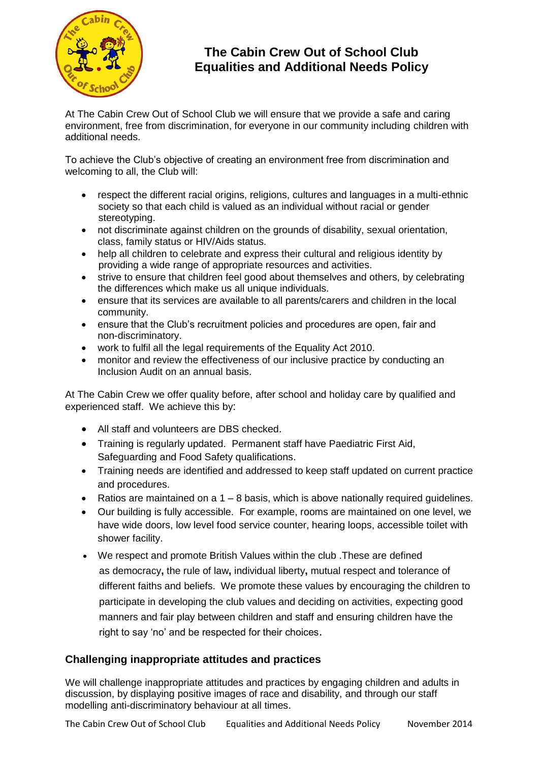

# **The Cabin Crew Out of School Club Equalities and Additional Needs Policy**

At The Cabin Crew Out of School Club we will ensure that we provide a safe and caring environment, free from discrimination, for everyone in our community including children with additional needs.

To achieve the Club's objective of creating an environment free from discrimination and welcoming to all, the Club will:

- respect the different racial origins, religions, cultures and languages in a multi-ethnic society so that each child is valued as an individual without racial or gender stereotyping.
- not discriminate against children on the grounds of disability, sexual orientation, class, family status or HIV/Aids status.
- help all children to celebrate and express their cultural and religious identity by providing a wide range of appropriate resources and activities.
- strive to ensure that children feel good about themselves and others, by celebrating the differences which make us all unique individuals.
- ensure that its services are available to all parents/carers and children in the local community.
- ensure that the Club's recruitment policies and procedures are open, fair and non-discriminatory.
- work to fulfil all the legal requirements of the Equality Act 2010.
- monitor and review the effectiveness of our inclusive practice by conducting an Inclusion Audit on an annual basis.

At The Cabin Crew we offer quality before, after school and holiday care by qualified and experienced staff. We achieve this by:

- All staff and volunteers are DBS checked.
- Training is regularly updated. Permanent staff have Paediatric First Aid, Safeguarding and Food Safety qualifications.
- Training needs are identified and addressed to keep staff updated on current practice and procedures.
- Ratios are maintained on a  $1 8$  basis, which is above nationally required guidelines.
- Our building is fully accessible. For example, rooms are maintained on one level, we have wide doors, low level food service counter, hearing loops, accessible toilet with shower facility.
- We respect and promote British Values within the club .These are defined as democracy**,** the rule of law**,** individual liberty**,** mutual respect and tolerance of different faiths and beliefs. We promote these values by encouraging the children to participate in developing the club values and deciding on activities, expecting good manners and fair play between children and staff and ensuring children have the right to say 'no' and be respected for their choices.

## **Challenging inappropriate attitudes and practices**

We will challenge inappropriate attitudes and practices by engaging children and adults in discussion, by displaying positive images of race and disability, and through our staff modelling anti-discriminatory behaviour at all times.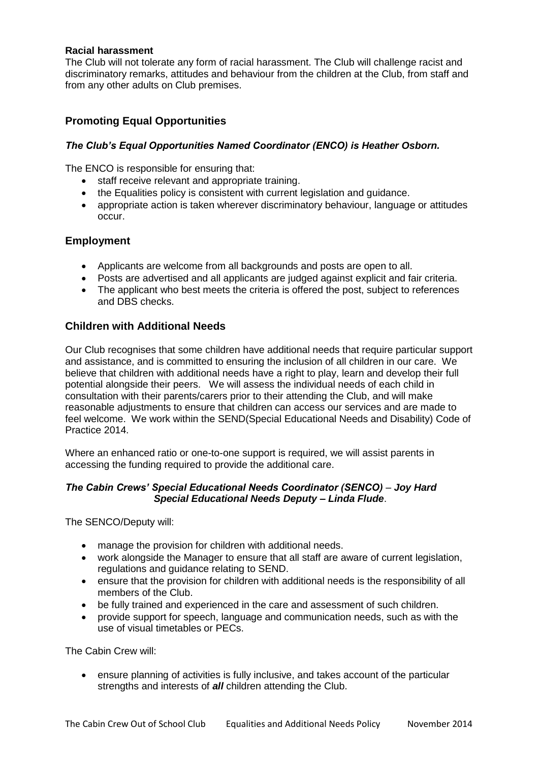#### **Racial harassment**

The Club will not tolerate any form of racial harassment. The Club will challenge racist and discriminatory remarks, attitudes and behaviour from the children at the Club, from staff and from any other adults on Club premises.

# **Promoting Equal Opportunities**

#### *The Club's Equal Opportunities Named Coordinator (ENCO) is Heather Osborn.*

The ENCO is responsible for ensuring that:

- staff receive relevant and appropriate training.
- the Equalities policy is consistent with current legislation and guidance.
- appropriate action is taken wherever discriminatory behaviour, language or attitudes occur.

## **Employment**

- Applicants are welcome from all backgrounds and posts are open to all.
- Posts are advertised and all applicants are judged against explicit and fair criteria.
- The applicant who best meets the criteria is offered the post, subject to references and DBS checks.

## **Children with Additional Needs**

Our Club recognises that some children have additional needs that require particular support and assistance, and is committed to ensuring the inclusion of all children in our care. We believe that children with additional needs have a right to play, learn and develop their full potential alongside their peers. We will assess the individual needs of each child in consultation with their parents/carers prior to their attending the Club, and will make reasonable adjustments to ensure that children can access our services and are made to feel welcome. We work within the SEND(Special Educational Needs and Disability) Code of Practice 2014.

Where an enhanced ratio or one-to-one support is required, we will assist parents in accessing the funding required to provide the additional care.

#### *The Cabin Crews' Special Educational Needs Coordinator (SENCO) - Jov Hard Special Educational Needs Deputy – Linda Flude*.

The SENCO/Deputy will:

- manage the provision for children with additional needs.
- work alongside the Manager to ensure that all staff are aware of current legislation, regulations and guidance relating to SEND.
- ensure that the provision for children with additional needs is the responsibility of all members of the Club.
- be fully trained and experienced in the care and assessment of such children.
- provide support for speech, language and communication needs, such as with the use of visual timetables or PECs.

The Cabin Crew will:

• ensure planning of activities is fully inclusive, and takes account of the particular strengths and interests of *all* children attending the Club.